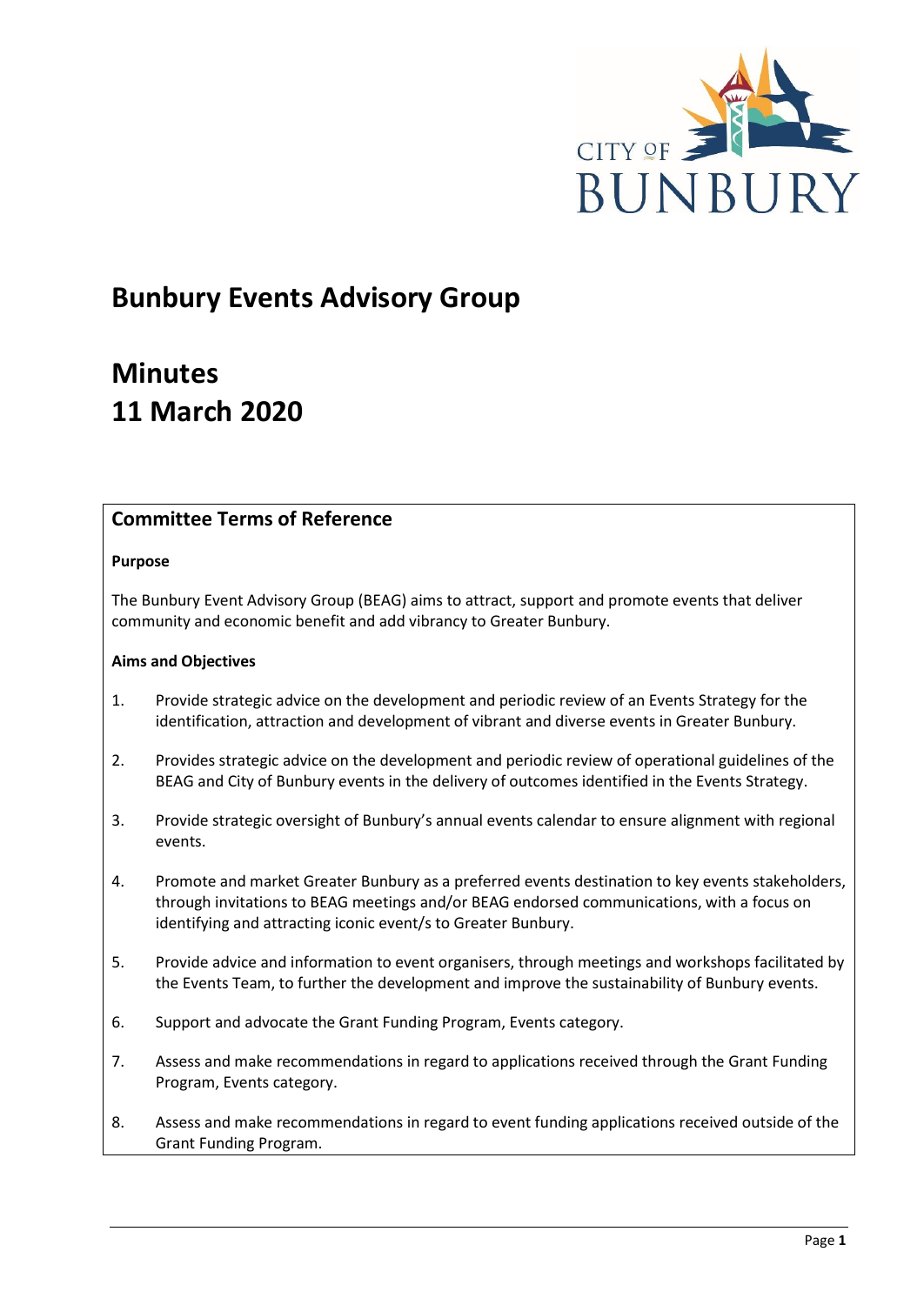

# **Bunbury Events Advisory Group**

# **Minutes 11 March 2020**

# **Committee Terms of Reference**

## **Purpose**

The Bunbury Event Advisory Group (BEAG) aims to attract, support and promote events that deliver community and economic benefit and add vibrancy to Greater Bunbury.

#### **Aims and Objectives**

- 1. Provide strategic advice on the development and periodic review of an Events Strategy for the identification, attraction and development of vibrant and diverse events in Greater Bunbury.
- 2. Provides strategic advice on the development and periodic review of operational guidelines of the BEAG and City of Bunbury events in the delivery of outcomes identified in the Events Strategy.
- 3. Provide strategic oversight of Bunbury's annual events calendar to ensure alignment with regional events.
- 4. Promote and market Greater Bunbury as a preferred events destination to key events stakeholders, through invitations to BEAG meetings and/or BEAG endorsed communications, with a focus on identifying and attracting iconic event/s to Greater Bunbury.
- 5. Provide advice and information to event organisers, through meetings and workshops facilitated by the Events Team, to further the development and improve the sustainability of Bunbury events.
- 6. Support and advocate the Grant Funding Program, Events category.
- 7. Assess and make recommendations in regard to applications received through the Grant Funding Program, Events category.
- 8. Assess and make recommendations in regard to event funding applications received outside of the Grant Funding Program.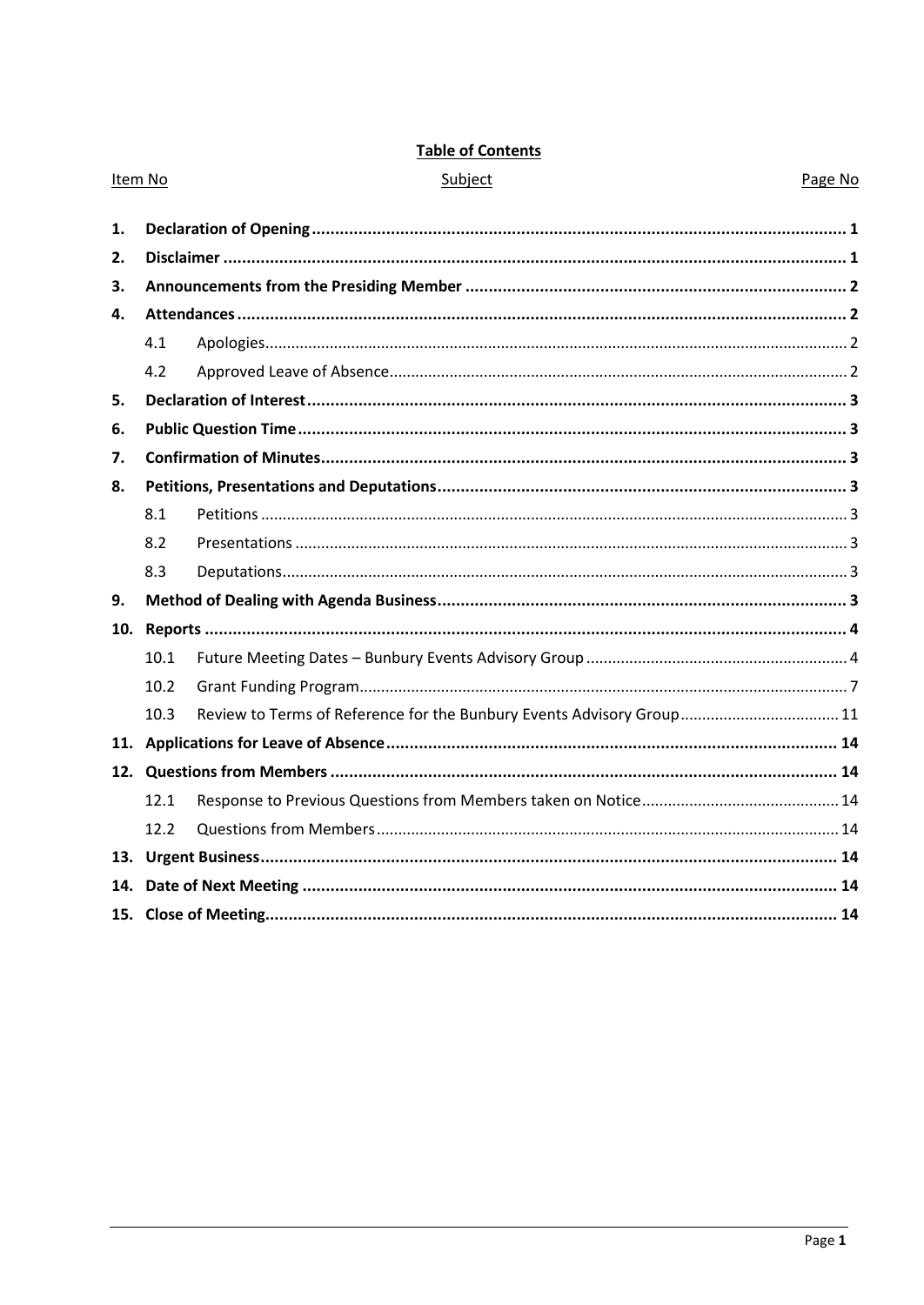|--|

|    | Item No | Page No<br>Subject                                                    |  |
|----|---------|-----------------------------------------------------------------------|--|
| 1. |         |                                                                       |  |
| 2. |         |                                                                       |  |
| 3. |         |                                                                       |  |
| 4. |         |                                                                       |  |
|    | 4.1     |                                                                       |  |
|    | 4.2     |                                                                       |  |
| 5. |         |                                                                       |  |
| 6. |         |                                                                       |  |
| 7. |         |                                                                       |  |
| 8. |         |                                                                       |  |
|    | 8.1     |                                                                       |  |
|    | 8.2     |                                                                       |  |
|    | 8.3     |                                                                       |  |
| 9. |         |                                                                       |  |
|    |         |                                                                       |  |
|    | 10.1    |                                                                       |  |
|    | 10.2    |                                                                       |  |
|    | 10.3    | Review to Terms of Reference for the Bunbury Events Advisory Group 11 |  |
|    |         |                                                                       |  |
|    |         |                                                                       |  |
|    | 12.1    |                                                                       |  |
|    | 12.2    |                                                                       |  |
|    |         |                                                                       |  |
|    |         |                                                                       |  |
|    |         |                                                                       |  |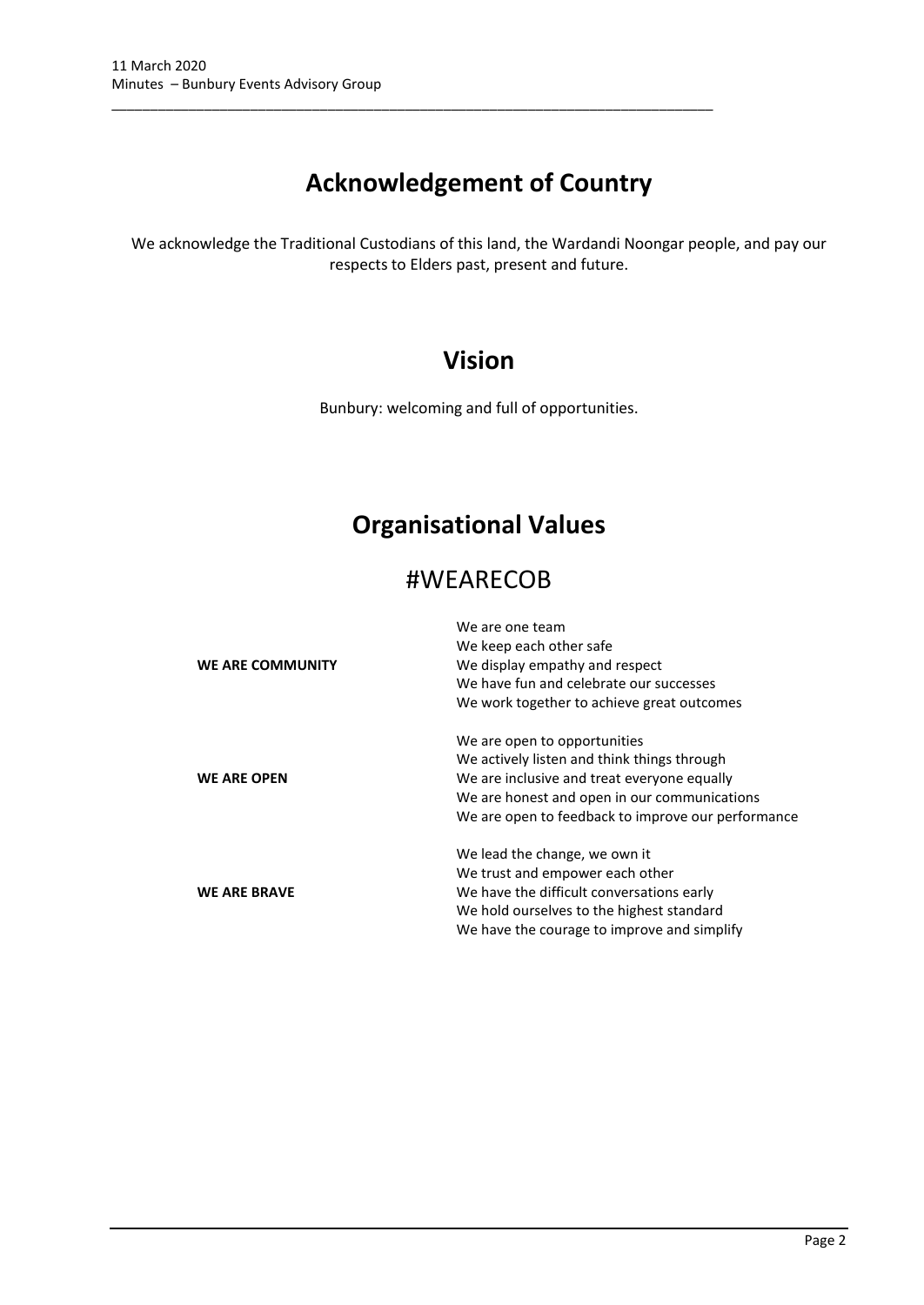# **Acknowledgement of Country**

\_\_\_\_\_\_\_\_\_\_\_\_\_\_\_\_\_\_\_\_\_\_\_\_\_\_\_\_\_\_\_\_\_\_\_\_\_\_\_\_\_\_\_\_\_\_\_\_\_\_\_\_\_\_\_\_\_\_\_\_\_\_\_\_\_\_\_\_\_\_\_\_\_\_\_\_\_\_

We acknowledge the Traditional Custodians of this land, the Wardandi Noongar people, and pay our respects to Elders past, present and future.

# **Vision**

Bunbury: welcoming and full of opportunities.

# **Organisational Values**

# #WEARECOB

|                     | We are one team                                    |  |  |  |  |
|---------------------|----------------------------------------------------|--|--|--|--|
|                     | We keep each other safe                            |  |  |  |  |
| WE ARE COMMUNITY    | We display empathy and respect                     |  |  |  |  |
|                     | We have fun and celebrate our successes            |  |  |  |  |
|                     | We work together to achieve great outcomes         |  |  |  |  |
|                     | We are open to opportunities                       |  |  |  |  |
|                     | We actively listen and think things through        |  |  |  |  |
| <b>WE ARE OPEN</b>  | We are inclusive and treat everyone equally        |  |  |  |  |
|                     | We are honest and open in our communications       |  |  |  |  |
|                     | We are open to feedback to improve our performance |  |  |  |  |
|                     | We lead the change, we own it                      |  |  |  |  |
|                     | We trust and empower each other                    |  |  |  |  |
| <b>WE ARE BRAVE</b> | We have the difficult conversations early          |  |  |  |  |
|                     | We hold ourselves to the highest standard          |  |  |  |  |
|                     | We have the courage to improve and simplify        |  |  |  |  |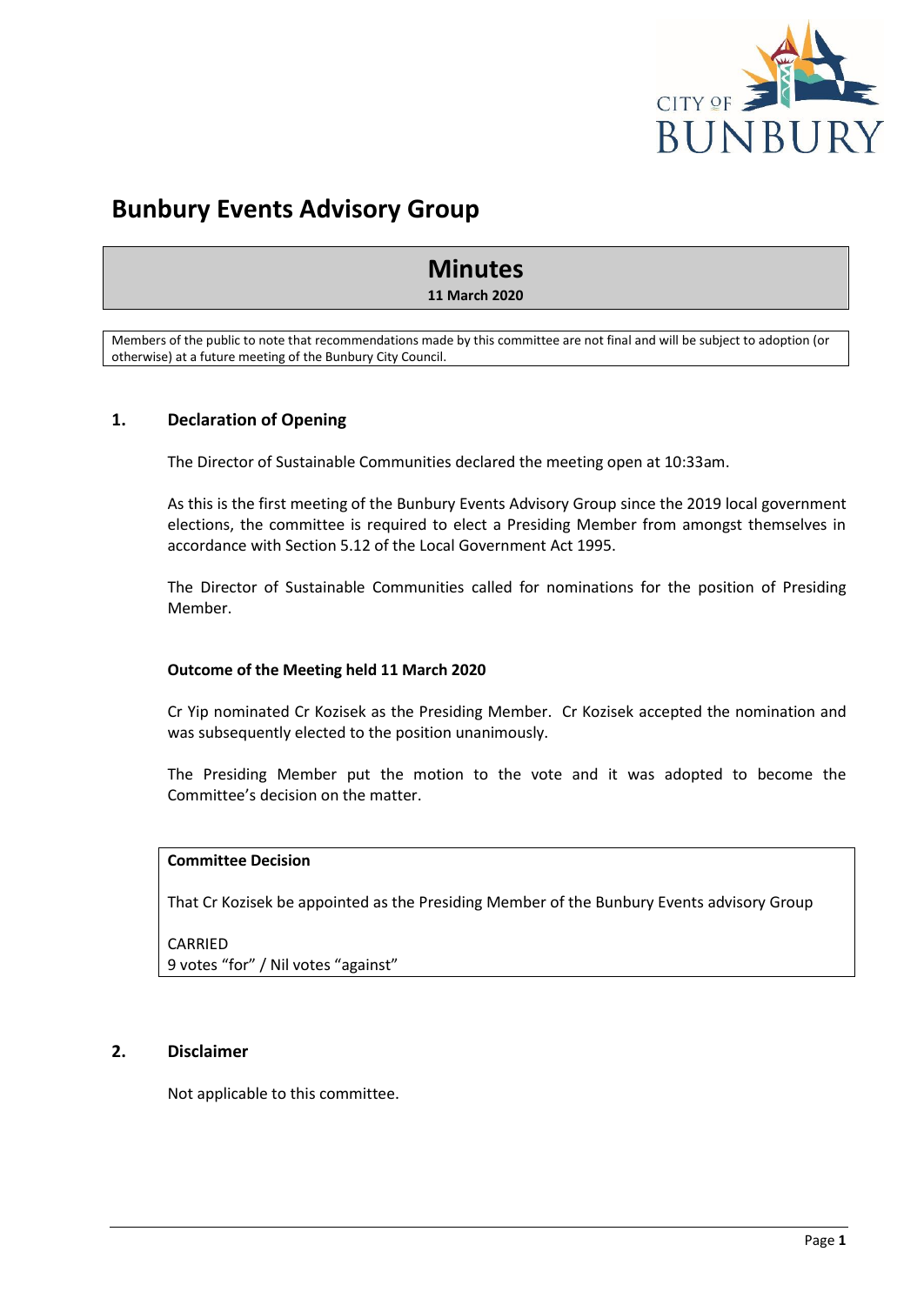

# **Bunbury Events Advisory Group**

# **Minutes**

**11 March 2020**

Members of the public to note that recommendations made by this committee are not final and will be subject to adoption (or otherwise) at a future meeting of the Bunbury City Council.

# <span id="page-3-0"></span>**1. Declaration of Opening**

The Director of Sustainable Communities declared the meeting open at 10:33am.

As this is the first meeting of the Bunbury Events Advisory Group since the 2019 local government elections, the committee is required to elect a Presiding Member from amongst themselves in accordance with Section 5.12 of the Local Government Act 1995.

The Director of Sustainable Communities called for nominations for the position of Presiding Member.

#### **Outcome of the Meeting held 11 March 2020**

Cr Yip nominated Cr Kozisek as the Presiding Member. Cr Kozisek accepted the nomination and was subsequently elected to the position unanimously.

The Presiding Member put the motion to the vote and it was adopted to become the Committee's decision on the matter.

#### **Committee Decision**

That Cr Kozisek be appointed as the Presiding Member of the Bunbury Events advisory Group

CARRIED 9 votes "for" / Nil votes "against"

## <span id="page-3-1"></span>**2. Disclaimer**

Not applicable to this committee.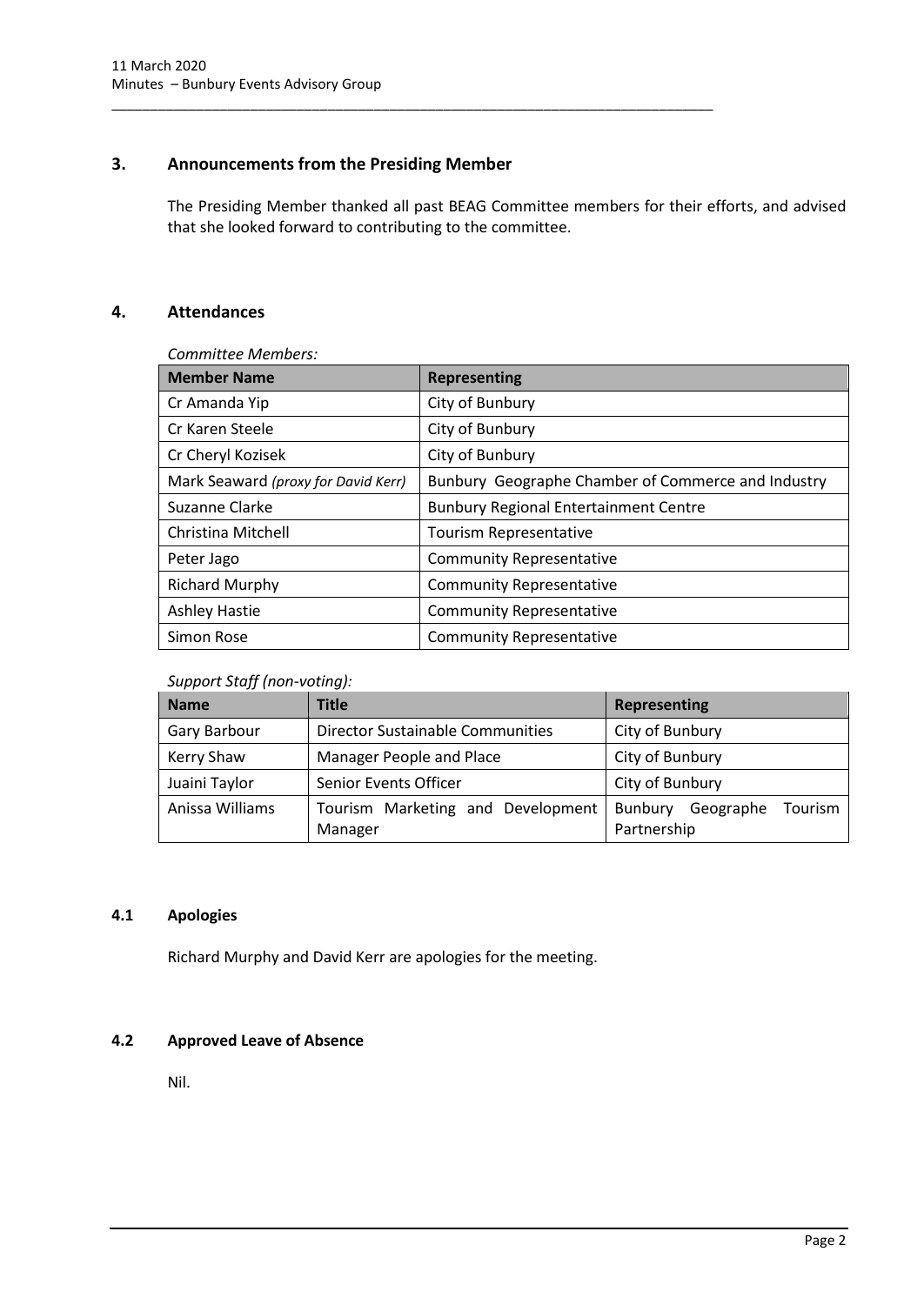# <span id="page-4-0"></span>**3. Announcements from the Presiding Member**

\_\_\_\_\_\_\_\_\_\_\_\_\_\_\_\_\_\_\_\_\_\_\_\_\_\_\_\_\_\_\_\_\_\_\_\_\_\_\_\_\_\_\_\_\_\_\_\_\_\_\_\_\_\_\_\_\_\_\_\_\_\_\_\_\_\_\_\_\_\_\_\_\_\_\_\_\_\_

The Presiding Member thanked all past BEAG Committee members for their efforts, and advised that she looked forward to contributing to the committee.

# <span id="page-4-1"></span>**4. Attendances**

*Committee Members:*

| <b>Member Name</b>                  | <b>Representing</b>                                |  |
|-------------------------------------|----------------------------------------------------|--|
| Cr Amanda Yip                       | City of Bunbury                                    |  |
| Cr Karen Steele                     | City of Bunbury                                    |  |
| Cr Cheryl Kozisek                   | City of Bunbury                                    |  |
| Mark Seaward (proxy for David Kerr) | Bunbury Geographe Chamber of Commerce and Industry |  |
| Suzanne Clarke                      | <b>Bunbury Regional Entertainment Centre</b>       |  |
| Christina Mitchell                  | Tourism Representative                             |  |
| Peter Jago                          | <b>Community Representative</b>                    |  |
| <b>Richard Murphy</b>               | <b>Community Representative</b>                    |  |
| <b>Ashley Hastie</b>                | <b>Community Representative</b>                    |  |
| Simon Rose                          | <b>Community Representative</b>                    |  |

# *Support Staff (non-voting):*

| <b>Name</b>     | <b>Title</b>                                 | Representing                                   |  |  |
|-----------------|----------------------------------------------|------------------------------------------------|--|--|
| Gary Barbour    | <b>Director Sustainable Communities</b>      | City of Bunbury                                |  |  |
| Kerry Shaw      | Manager People and Place                     | City of Bunbury                                |  |  |
| Juaini Taylor   | Senior Events Officer                        | City of Bunbury                                |  |  |
| Anissa Williams | Tourism Marketing and Development<br>Manager | Bunbury<br>Tourism<br>Geographe<br>Partnership |  |  |

## <span id="page-4-2"></span>**4.1 Apologies**

Richard Murphy and David Kerr are apologies for the meeting.

# <span id="page-4-3"></span>**4.2 Approved Leave of Absence**

Nil.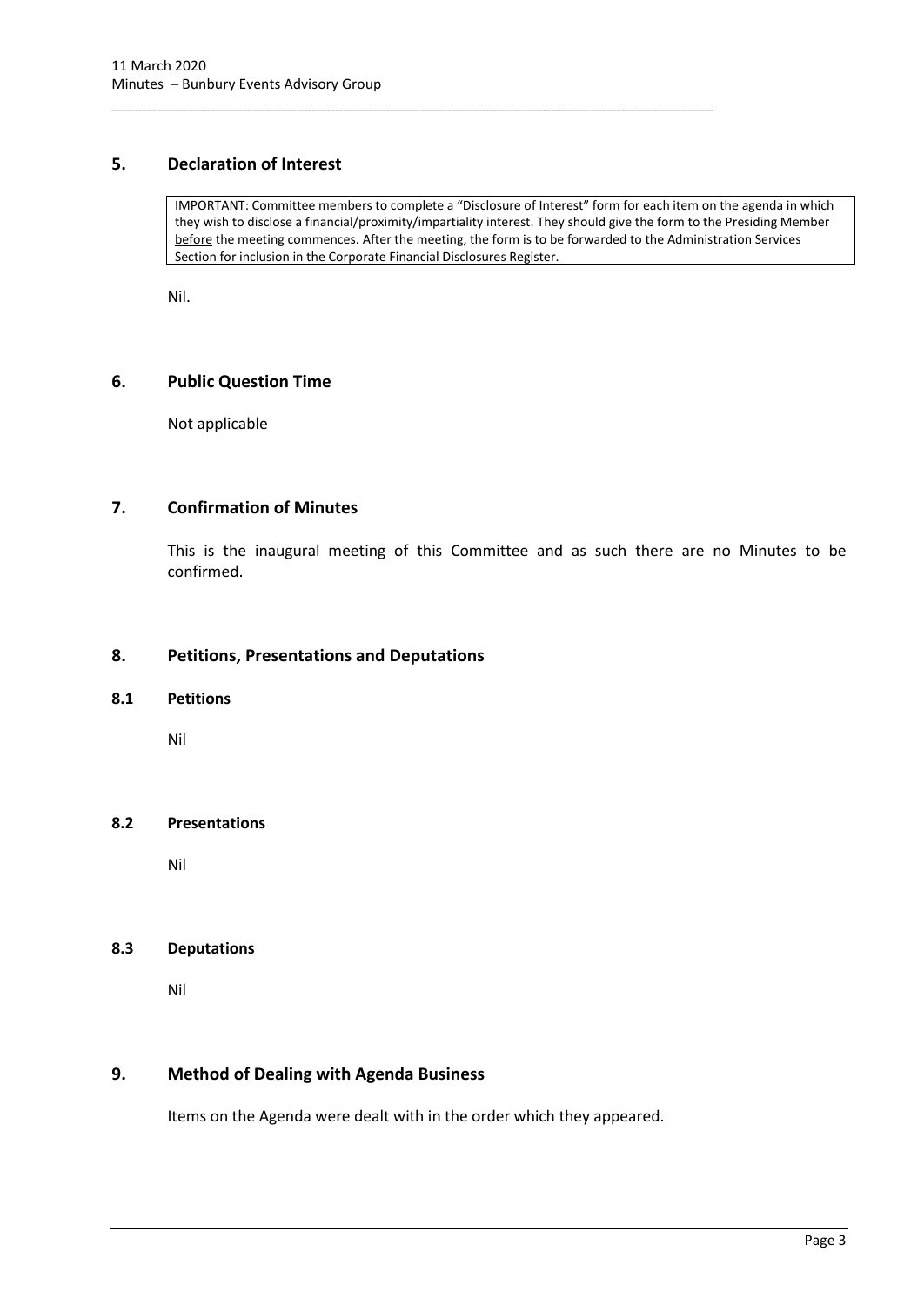# <span id="page-5-0"></span>**5. Declaration of Interest**

IMPORTANT: Committee members to complete a "Disclosure of Interest" form for each item on the agenda in which they wish to disclose a financial/proximity/impartiality interest. They should give the form to the Presiding Member before the meeting commences. After the meeting, the form is to be forwarded to the Administration Services Section for inclusion in the Corporate Financial Disclosures Register.

\_\_\_\_\_\_\_\_\_\_\_\_\_\_\_\_\_\_\_\_\_\_\_\_\_\_\_\_\_\_\_\_\_\_\_\_\_\_\_\_\_\_\_\_\_\_\_\_\_\_\_\_\_\_\_\_\_\_\_\_\_\_\_\_\_\_\_\_\_\_\_\_\_\_\_\_\_\_

Nil.

## <span id="page-5-1"></span>**6. Public Question Time**

Not applicable

# <span id="page-5-2"></span>**7. Confirmation of Minutes**

This is the inaugural meeting of this Committee and as such there are no Minutes to be confirmed.

## <span id="page-5-3"></span>**8. Petitions, Presentations and Deputations**

#### <span id="page-5-4"></span>**8.1 Petitions**

Nil

#### <span id="page-5-5"></span>**8.2 Presentations**

Nil

#### <span id="page-5-6"></span>**8.3 Deputations**

Nil

#### <span id="page-5-7"></span>**9. Method of Dealing with Agenda Business**

Items on the Agenda were dealt with in the order which they appeared.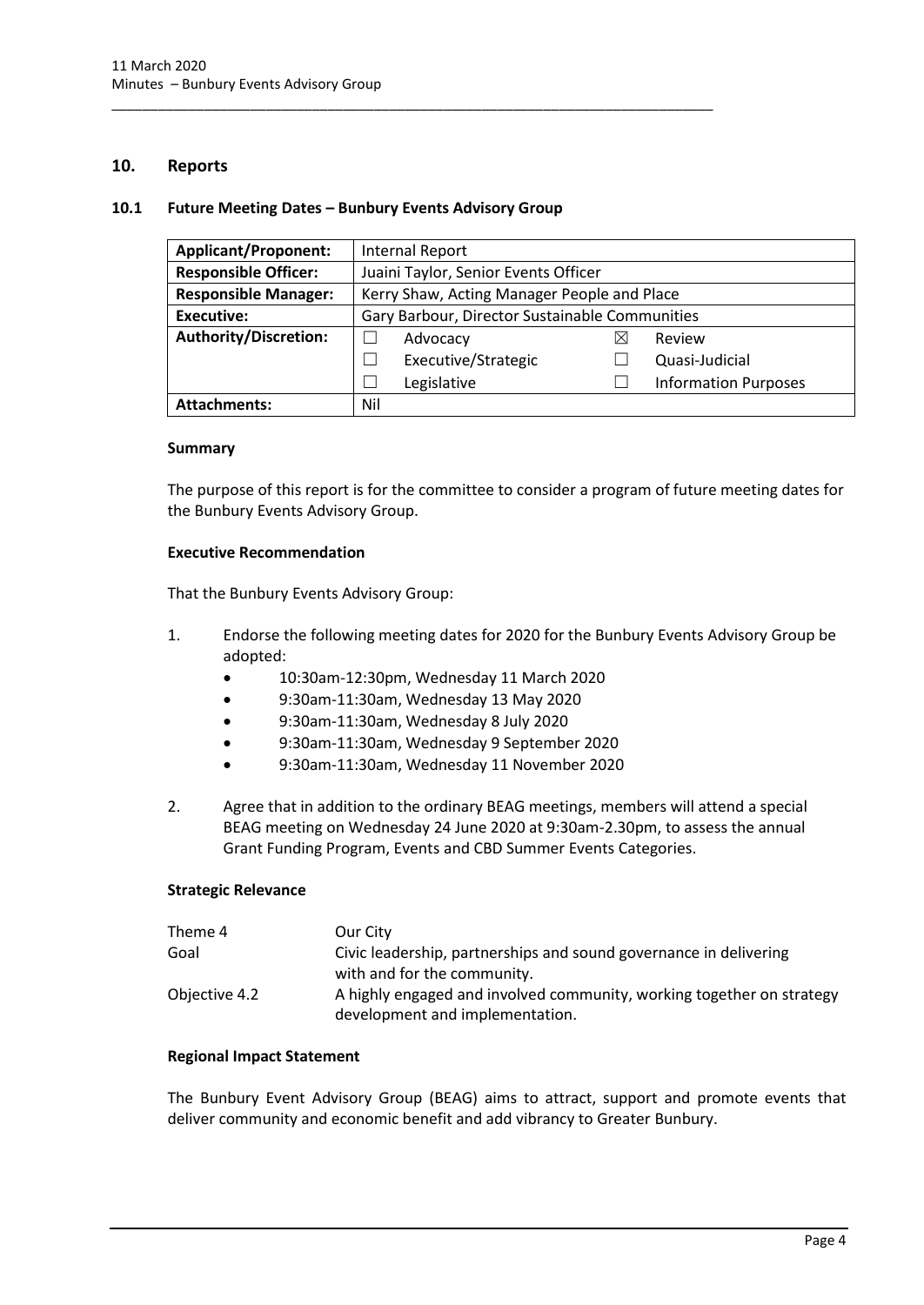#### <span id="page-6-0"></span>**10. Reports**

#### <span id="page-6-1"></span>**10.1 Future Meeting Dates – Bunbury Events Advisory Group**

\_\_\_\_\_\_\_\_\_\_\_\_\_\_\_\_\_\_\_\_\_\_\_\_\_\_\_\_\_\_\_\_\_\_\_\_\_\_\_\_\_\_\_\_\_\_\_\_\_\_\_\_\_\_\_\_\_\_\_\_\_\_\_\_\_\_\_\_\_\_\_\_\_\_\_\_\_\_

| <b>Applicant/Proponent:</b>  | Internal Report                                |  |                             |  |
|------------------------------|------------------------------------------------|--|-----------------------------|--|
| <b>Responsible Officer:</b>  | Juaini Taylor, Senior Events Officer           |  |                             |  |
| <b>Responsible Manager:</b>  | Kerry Shaw, Acting Manager People and Place    |  |                             |  |
| Executive:                   | Gary Barbour, Director Sustainable Communities |  |                             |  |
| <b>Authority/Discretion:</b> | Advocacy                                       |  | Review                      |  |
|                              | Executive/Strategic                            |  | Quasi-Judicial              |  |
|                              | Legislative                                    |  | <b>Information Purposes</b> |  |
| <b>Attachments:</b>          | Nil                                            |  |                             |  |

#### **Summary**

The purpose of this report is for the committee to consider a program of future meeting dates for the Bunbury Events Advisory Group.

## **Executive Recommendation**

That the Bunbury Events Advisory Group:

- 1. Endorse the following meeting dates for 2020 for the Bunbury Events Advisory Group be adopted:
	- 10:30am-12:30pm, Wednesday 11 March 2020
	- 9:30am-11:30am, Wednesday 13 May 2020
	- 9:30am-11:30am, Wednesday 8 July 2020
	- 9:30am-11:30am, Wednesday 9 September 2020
	- 9:30am-11:30am, Wednesday 11 November 2020
- 2. Agree that in addition to the ordinary BEAG meetings, members will attend a special BEAG meeting on Wednesday 24 June 2020 at 9:30am-2.30pm, to assess the annual Grant Funding Program, Events and CBD Summer Events Categories.

#### **Strategic Relevance**

| Theme 4       | Our City                                                              |
|---------------|-----------------------------------------------------------------------|
| Goal          | Civic leadership, partnerships and sound governance in delivering     |
|               | with and for the community.                                           |
| Objective 4.2 | A highly engaged and involved community, working together on strategy |
|               | development and implementation.                                       |

#### **Regional Impact Statement**

The Bunbury Event Advisory Group (BEAG) aims to attract, support and promote events that deliver community and economic benefit and add vibrancy to Greater Bunbury.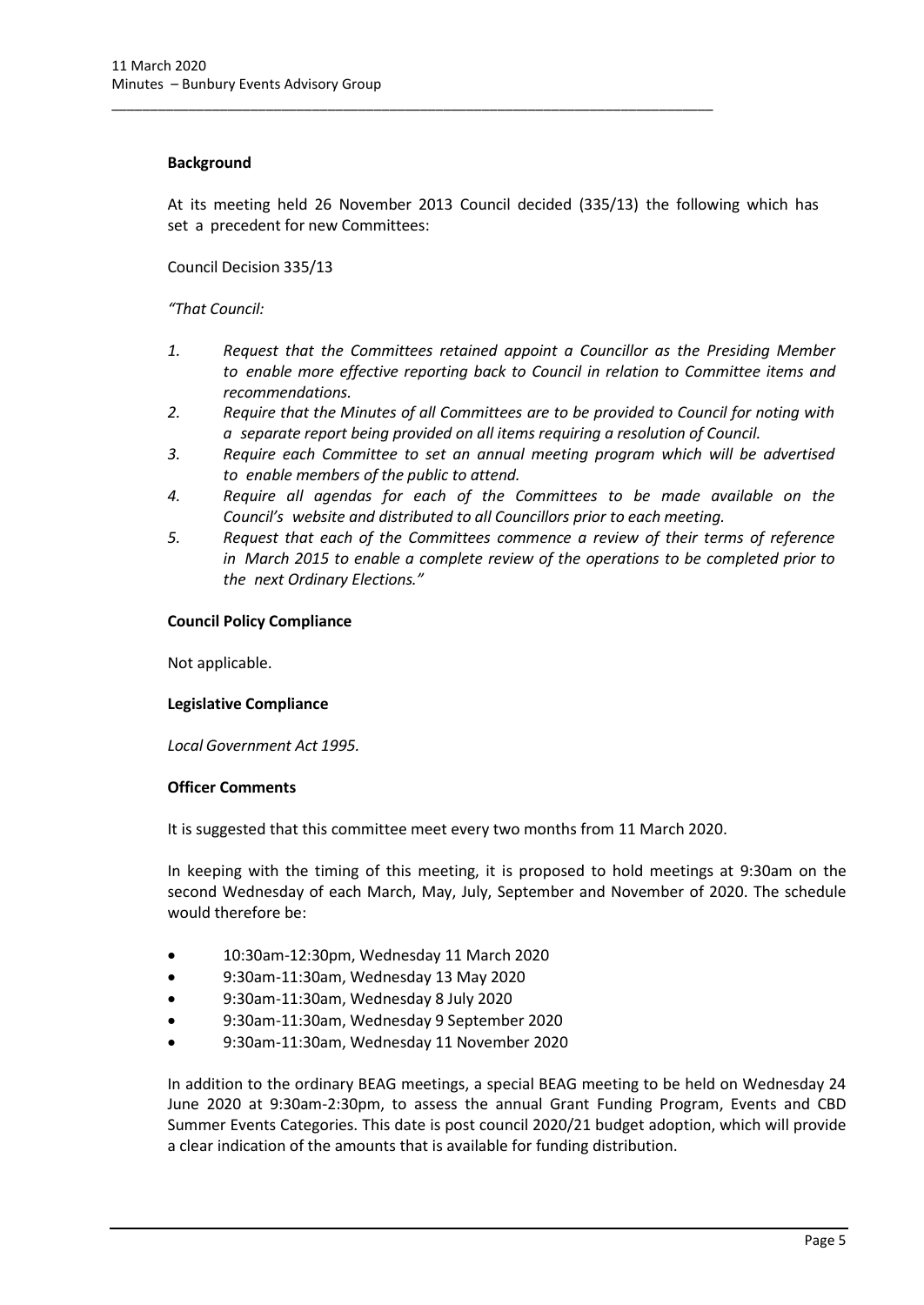#### **Background**

At its meeting held 26 November 2013 Council decided (335/13) the following which has set a precedent for new Committees:

\_\_\_\_\_\_\_\_\_\_\_\_\_\_\_\_\_\_\_\_\_\_\_\_\_\_\_\_\_\_\_\_\_\_\_\_\_\_\_\_\_\_\_\_\_\_\_\_\_\_\_\_\_\_\_\_\_\_\_\_\_\_\_\_\_\_\_\_\_\_\_\_\_\_\_\_\_\_

Council Decision 335/13

## *"That Council:*

- *1. Request that the Committees retained appoint a Councillor as the Presiding Member to enable more effective reporting back to Council in relation to Committee items and recommendations.*
- *2. Require that the Minutes of all Committees are to be provided to Council for noting with a separate report being provided on all items requiring a resolution of Council.*
- *3. Require each Committee to set an annual meeting program which will be advertised to enable members of the public to attend.*
- *4. Require all agendas for each of the Committees to be made available on the Council's website and distributed to all Councillors prior to each meeting.*
- *5. Request that each of the Committees commence a review of their terms of reference in March 2015 to enable a complete review of the operations to be completed prior to the next Ordinary Elections."*

## **Council Policy Compliance**

Not applicable.

#### **Legislative Compliance**

*Local Government Act 1995.*

#### **Officer Comments**

It is suggested that this committee meet every two months from 11 March 2020.

In keeping with the timing of this meeting, it is proposed to hold meetings at 9:30am on the second Wednesday of each March, May, July, September and November of 2020. The schedule would therefore be:

- 10:30am-12:30pm, Wednesday 11 March 2020
- 9:30am-11:30am, Wednesday 13 May 2020
- 9:30am-11:30am, Wednesday 8 July 2020
- 9:30am-11:30am, Wednesday 9 September 2020
- 9:30am-11:30am, Wednesday 11 November 2020

In addition to the ordinary BEAG meetings, a special BEAG meeting to be held on Wednesday 24 June 2020 at 9:30am-2:30pm, to assess the annual Grant Funding Program, Events and CBD Summer Events Categories. This date is post council 2020/21 budget adoption, which will provide a clear indication of the amounts that is available for funding distribution.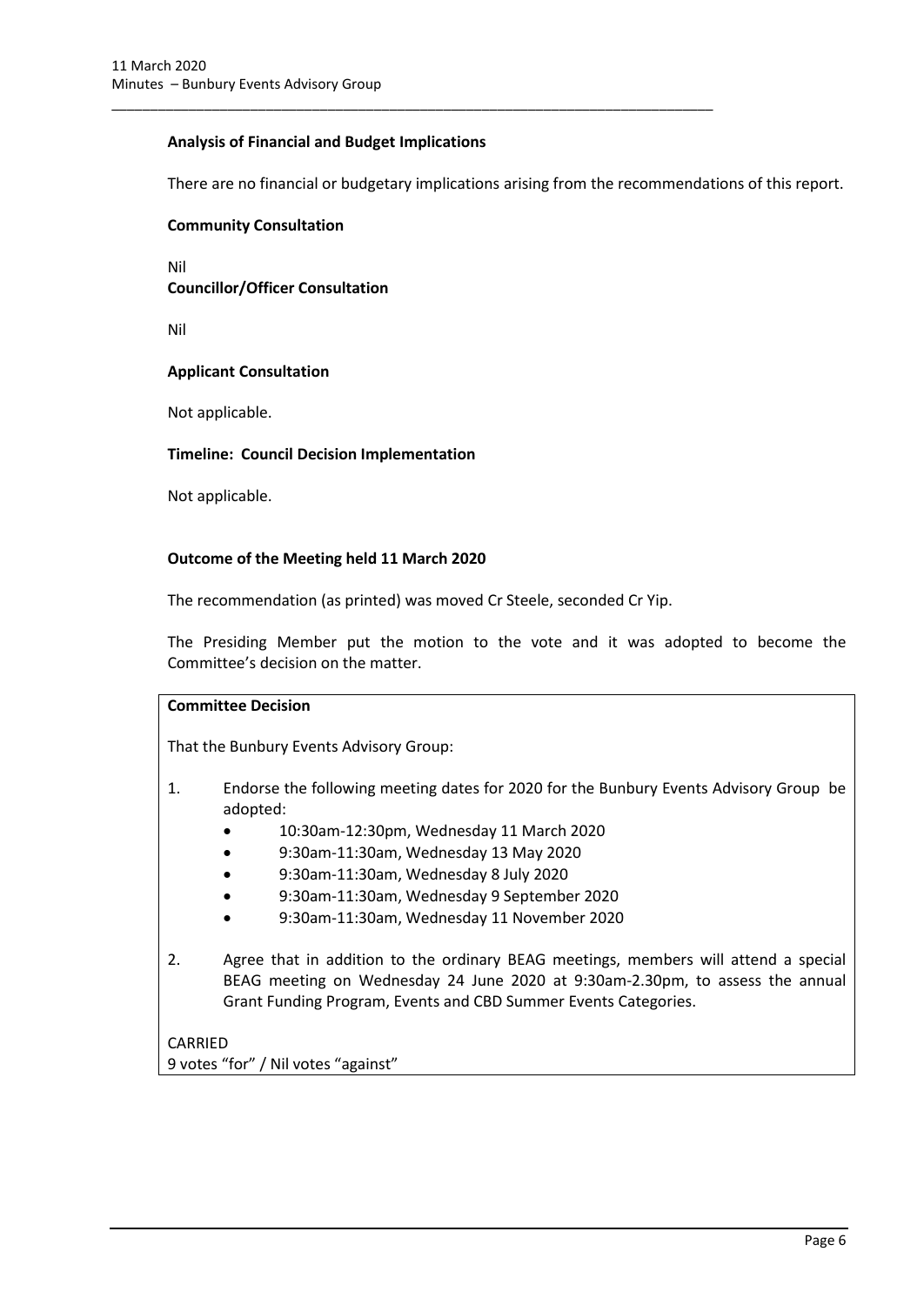## **Analysis of Financial and Budget Implications**

\_\_\_\_\_\_\_\_\_\_\_\_\_\_\_\_\_\_\_\_\_\_\_\_\_\_\_\_\_\_\_\_\_\_\_\_\_\_\_\_\_\_\_\_\_\_\_\_\_\_\_\_\_\_\_\_\_\_\_\_\_\_\_\_\_\_\_\_\_\_\_\_\_\_\_\_\_\_

There are no financial or budgetary implications arising from the recommendations of this report.

#### **Community Consultation**

Nil **Councillor/Officer Consultation**

Nil

## **Applicant Consultation**

Not applicable.

#### **Timeline: Council Decision Implementation**

Not applicable.

#### **Outcome of the Meeting held 11 March 2020**

The recommendation (as printed) was moved Cr Steele, seconded Cr Yip.

The Presiding Member put the motion to the vote and it was adopted to become the Committee's decision on the matter.

# **Committee Decision**

That the Bunbury Events Advisory Group:

- 1. Endorse the following meeting dates for 2020 for the Bunbury Events Advisory Group be adopted:
	- 10:30am-12:30pm, Wednesday 11 March 2020
	- 9:30am-11:30am, Wednesday 13 May 2020
	- 9:30am-11:30am, Wednesday 8 July 2020
	- 9:30am-11:30am, Wednesday 9 September 2020
	- 9:30am-11:30am, Wednesday 11 November 2020
- 2. Agree that in addition to the ordinary BEAG meetings, members will attend a special BEAG meeting on Wednesday 24 June 2020 at 9:30am-2.30pm, to assess the annual Grant Funding Program, Events and CBD Summer Events Categories.

CARRIED 9 votes "for" / Nil votes "against"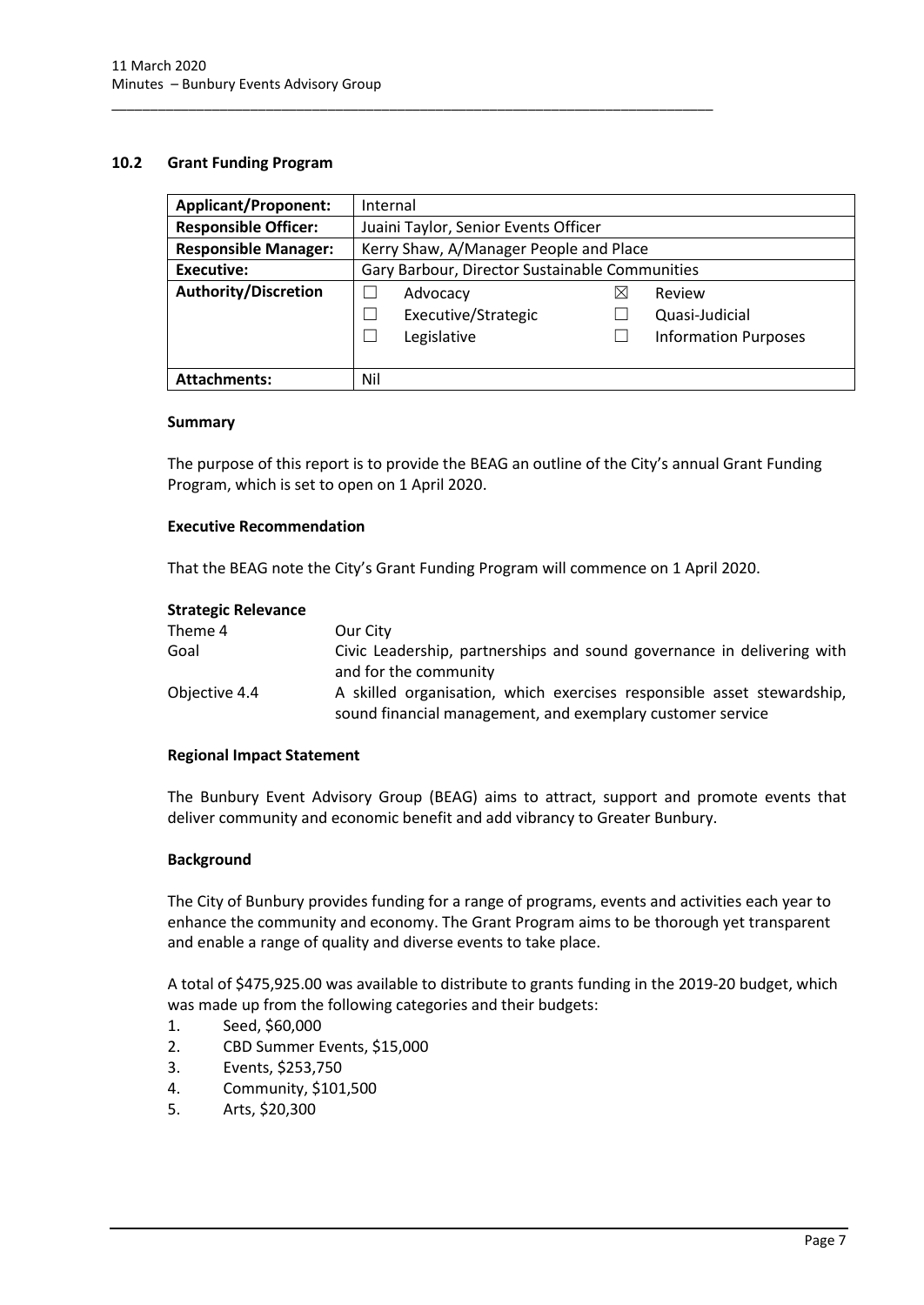#### <span id="page-9-0"></span>**10.2 Grant Funding Program**

| <b>Applicant/Proponent:</b> | Internal                                       |           |                             |  |
|-----------------------------|------------------------------------------------|-----------|-----------------------------|--|
| <b>Responsible Officer:</b> | Juaini Taylor, Senior Events Officer           |           |                             |  |
| <b>Responsible Manager:</b> | Kerry Shaw, A/Manager People and Place         |           |                             |  |
| Executive:                  | Gary Barbour, Director Sustainable Communities |           |                             |  |
| <b>Authority/Discretion</b> | Advocacy                                       | $\bowtie$ | Review                      |  |
|                             | Executive/Strategic                            |           | Quasi-Judicial              |  |
|                             | Legislative                                    |           | <b>Information Purposes</b> |  |
|                             |                                                |           |                             |  |
| <b>Attachments:</b>         | Nil                                            |           |                             |  |

\_\_\_\_\_\_\_\_\_\_\_\_\_\_\_\_\_\_\_\_\_\_\_\_\_\_\_\_\_\_\_\_\_\_\_\_\_\_\_\_\_\_\_\_\_\_\_\_\_\_\_\_\_\_\_\_\_\_\_\_\_\_\_\_\_\_\_\_\_\_\_\_\_\_\_\_\_\_

#### **Summary**

The purpose of this report is to provide the BEAG an outline of the City's annual Grant Funding Program, which is set to open on 1 April 2020.

#### **Executive Recommendation**

That the BEAG note the City's Grant Funding Program will commence on 1 April 2020.

#### **Strategic Relevance**

| Theme 4       | Our City                                                               |
|---------------|------------------------------------------------------------------------|
| Goal          | Civic Leadership, partnerships and sound governance in delivering with |
|               | and for the community                                                  |
| Objective 4.4 | A skilled organisation, which exercises responsible asset stewardship, |
|               | sound financial management, and exemplary customer service             |

#### **Regional Impact Statement**

The Bunbury Event Advisory Group (BEAG) aims to attract, support and promote events that deliver community and economic benefit and add vibrancy to Greater Bunbury.

#### **Background**

The City of Bunbury provides funding for a range of programs, events and activities each year to enhance the community and economy. The Grant Program aims to be thorough yet transparent and enable a range of quality and diverse events to take place.

A total of \$475,925.00 was available to distribute to grants funding in the 2019-20 budget, which was made up from the following categories and their budgets:

- 1. Seed, \$60,000
- 2. CBD Summer Events, \$15,000
- 3. Events, \$253,750
- 4. Community, \$101,500
- 5. Arts, \$20,300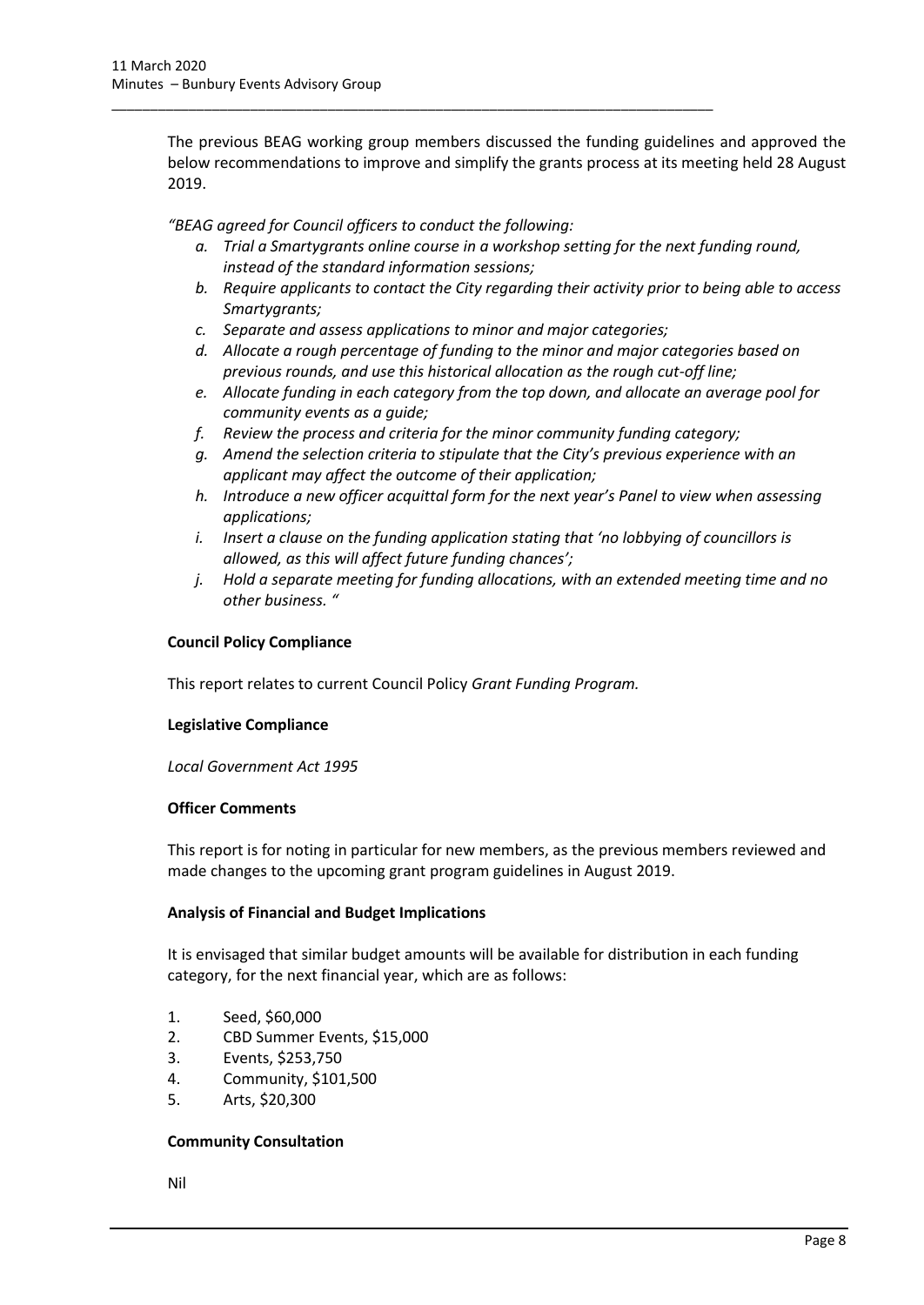The previous BEAG working group members discussed the funding guidelines and approved the below recommendations to improve and simplify the grants process at its meeting held 28 August 2019.

*"BEAG agreed for Council officers to conduct the following:* 

\_\_\_\_\_\_\_\_\_\_\_\_\_\_\_\_\_\_\_\_\_\_\_\_\_\_\_\_\_\_\_\_\_\_\_\_\_\_\_\_\_\_\_\_\_\_\_\_\_\_\_\_\_\_\_\_\_\_\_\_\_\_\_\_\_\_\_\_\_\_\_\_\_\_\_\_\_\_

- *a. Trial a Smartygrants online course in a workshop setting for the next funding round, instead of the standard information sessions;*
- *b. Require applicants to contact the City regarding their activity prior to being able to access Smartygrants;*
- *c. Separate and assess applications to minor and major categories;*
- *d. Allocate a rough percentage of funding to the minor and major categories based on previous rounds, and use this historical allocation as the rough cut-off line;*
- *e. Allocate funding in each category from the top down, and allocate an average pool for community events as a guide;*
- *f. Review the process and criteria for the minor community funding category;*
- *g. Amend the selection criteria to stipulate that the City's previous experience with an applicant may affect the outcome of their application;*
- *h. Introduce a new officer acquittal form for the next year's Panel to view when assessing applications;*
- *i. Insert a clause on the funding application stating that 'no lobbying of councillors is allowed, as this will affect future funding chances';*
- *j. Hold a separate meeting for funding allocations, with an extended meeting time and no other business. "*

## **Council Policy Compliance**

This report relates to current Council Policy *Grant Funding Program.*

#### **Legislative Compliance**

*Local Government Act 1995*

#### **Officer Comments**

This report is for noting in particular for new members, as the previous members reviewed and made changes to the upcoming grant program guidelines in August 2019.

#### **Analysis of Financial and Budget Implications**

It is envisaged that similar budget amounts will be available for distribution in each funding category, for the next financial year, which are as follows:

- 1. Seed, \$60,000
- 2. CBD Summer Events, \$15,000
- 3. Events, \$253,750
- 4. Community, \$101,500
- 5. Arts, \$20,300

#### **Community Consultation**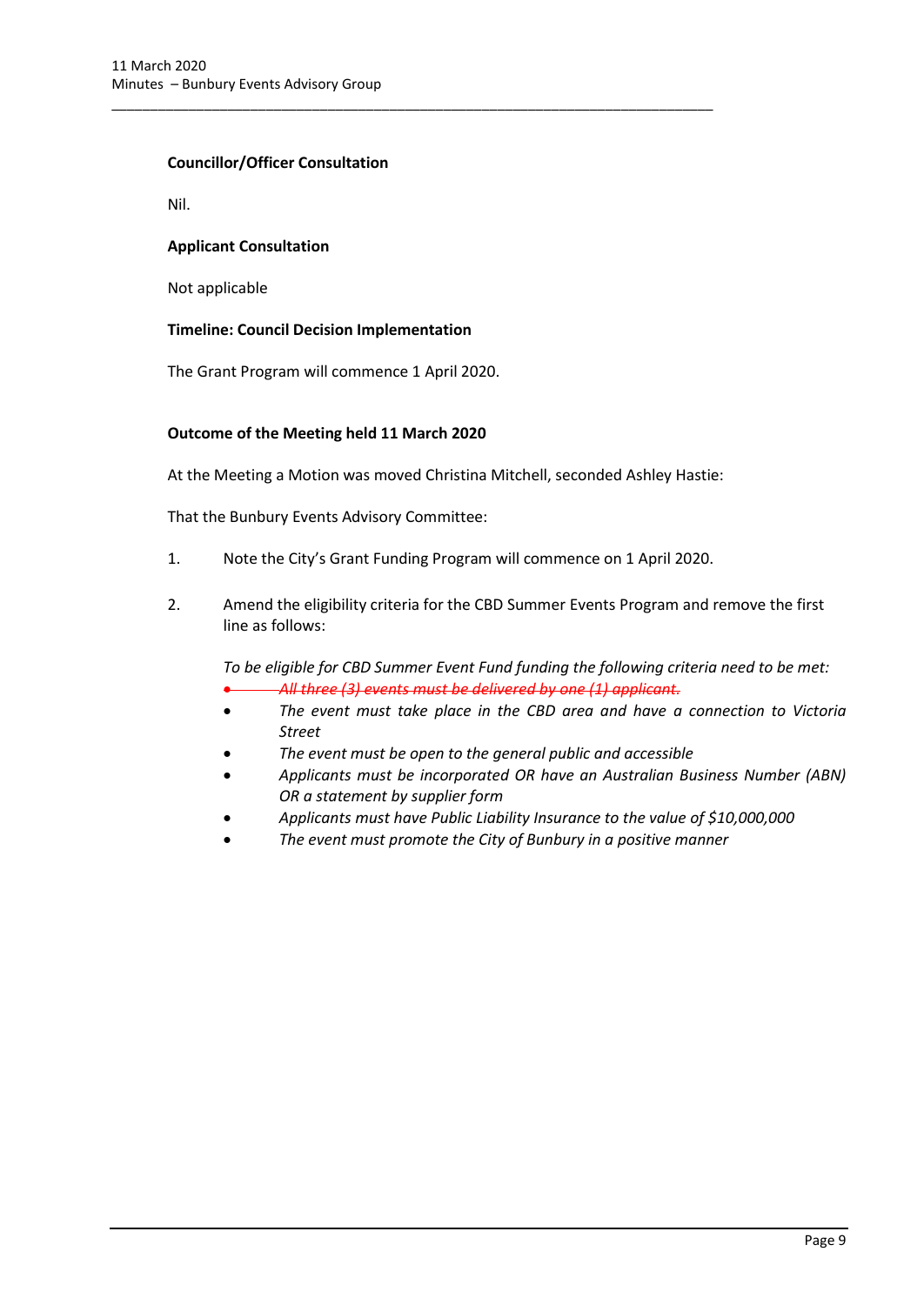#### **Councillor/Officer Consultation**

Nil.

#### **Applicant Consultation**

Not applicable

## **Timeline: Council Decision Implementation**

The Grant Program will commence 1 April 2020.

## **Outcome of the Meeting held 11 March 2020**

At the Meeting a Motion was moved Christina Mitchell, seconded Ashley Hastie:

\_\_\_\_\_\_\_\_\_\_\_\_\_\_\_\_\_\_\_\_\_\_\_\_\_\_\_\_\_\_\_\_\_\_\_\_\_\_\_\_\_\_\_\_\_\_\_\_\_\_\_\_\_\_\_\_\_\_\_\_\_\_\_\_\_\_\_\_\_\_\_\_\_\_\_\_\_\_

That the Bunbury Events Advisory Committee:

- 1. Note the City's Grant Funding Program will commence on 1 April 2020.
- 2. Amend the eligibility criteria for the CBD Summer Events Program and remove the first line as follows:

*To be eligible for CBD Summer Event Fund funding the following criteria need to be met:*  • *All three (3) events must be delivered by one (1) applicant.* 

- *The event must take place in the CBD area and have a connection to Victoria Street*
- *The event must be open to the general public and accessible*
- *Applicants must be incorporated OR have an Australian Business Number (ABN) OR a statement by supplier form*
- *Applicants must have Public Liability Insurance to the value of \$10,000,000*
- *The event must promote the City of Bunbury in a positive manner*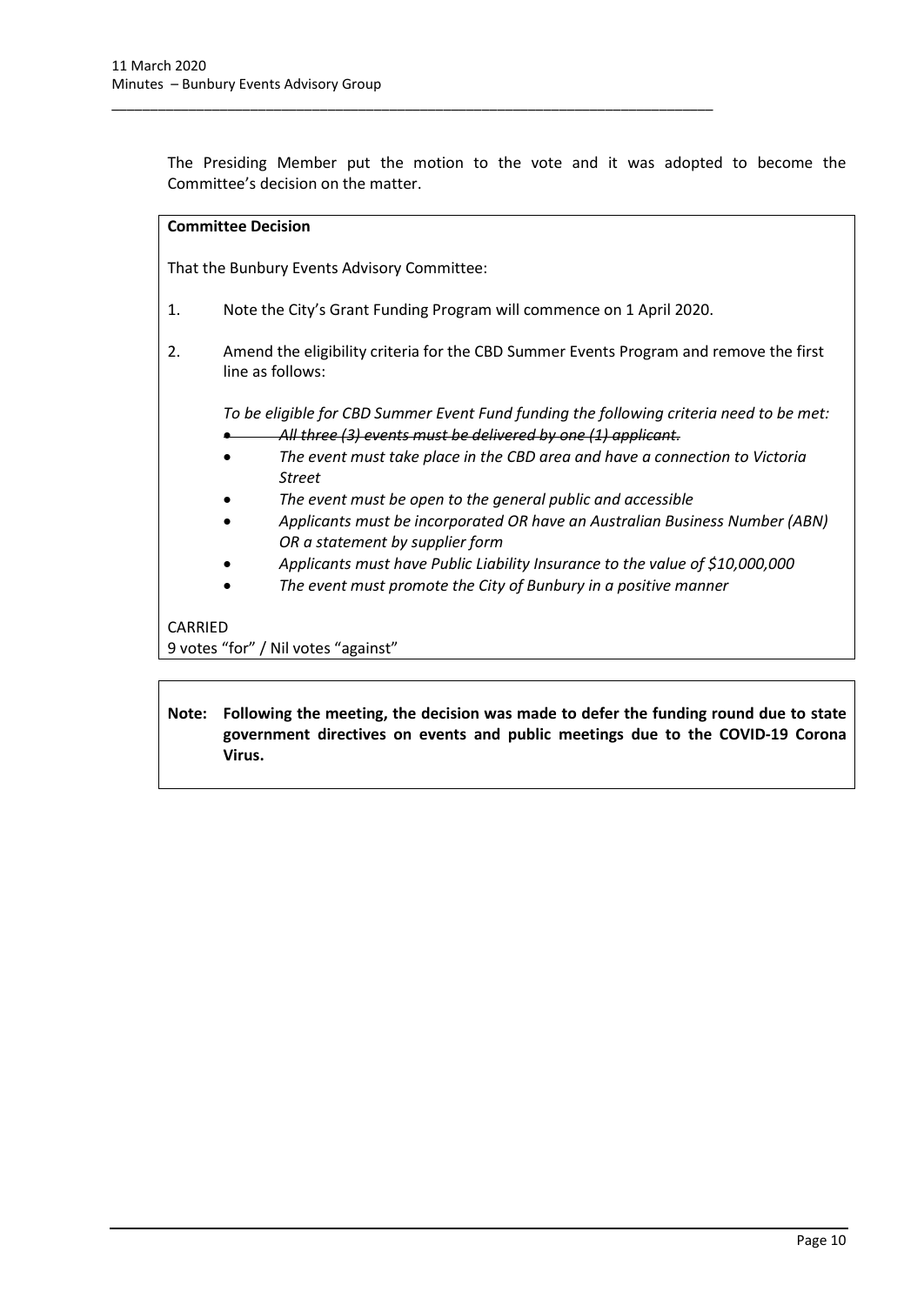The Presiding Member put the motion to the vote and it was adopted to become the Committee's decision on the matter.

#### **Committee Decision**

That the Bunbury Events Advisory Committee:

1. Note the City's Grant Funding Program will commence on 1 April 2020.

\_\_\_\_\_\_\_\_\_\_\_\_\_\_\_\_\_\_\_\_\_\_\_\_\_\_\_\_\_\_\_\_\_\_\_\_\_\_\_\_\_\_\_\_\_\_\_\_\_\_\_\_\_\_\_\_\_\_\_\_\_\_\_\_\_\_\_\_\_\_\_\_\_\_\_\_\_\_

2. Amend the eligibility criteria for the CBD Summer Events Program and remove the first line as follows:

*To be eligible for CBD Summer Event Fund funding the following criteria need to be met:*  • *All three (3) events must be delivered by one (1) applicant.* 

- *The event must take place in the CBD area and have a connection to Victoria Street*
- *The event must be open to the general public and accessible*
- *Applicants must be incorporated OR have an Australian Business Number (ABN) OR a statement by supplier form*
- *Applicants must have Public Liability Insurance to the value of \$10,000,000*
- *The event must promote the City of Bunbury in a positive manner*

## CARRIED

9 votes "for" / Nil votes "against"

**Note: Following the meeting, the decision was made to defer the funding round due to state government directives on events and public meetings due to the COVID-19 Corona Virus.**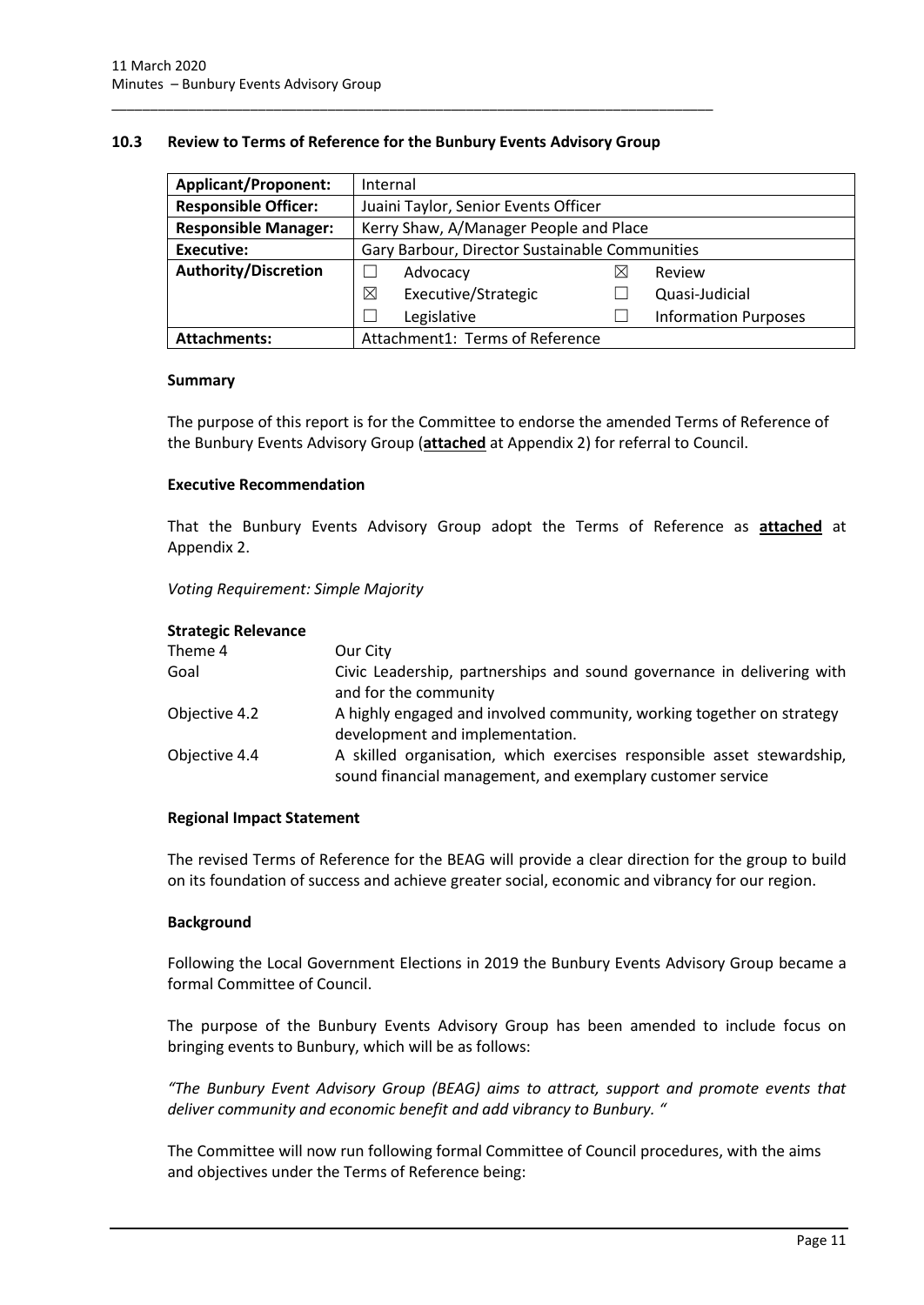#### <span id="page-13-0"></span>**10.3 Review to Terms of Reference for the Bunbury Events Advisory Group**

\_\_\_\_\_\_\_\_\_\_\_\_\_\_\_\_\_\_\_\_\_\_\_\_\_\_\_\_\_\_\_\_\_\_\_\_\_\_\_\_\_\_\_\_\_\_\_\_\_\_\_\_\_\_\_\_\_\_\_\_\_\_\_\_\_\_\_\_\_\_\_\_\_\_\_\_\_\_

| <b>Applicant/Proponent:</b> | Internal                                       |   |                             |  |
|-----------------------------|------------------------------------------------|---|-----------------------------|--|
| <b>Responsible Officer:</b> | Juaini Taylor, Senior Events Officer           |   |                             |  |
| <b>Responsible Manager:</b> | Kerry Shaw, A/Manager People and Place         |   |                             |  |
| Executive:                  | Gary Barbour, Director Sustainable Communities |   |                             |  |
| <b>Authority/Discretion</b> | Advocacy                                       | ⋉ | Review                      |  |
|                             | Executive/Strategic<br>⊠                       |   | Quasi-Judicial              |  |
|                             | Legislative                                    |   | <b>Information Purposes</b> |  |
| <b>Attachments:</b>         | Attachment1: Terms of Reference                |   |                             |  |

#### **Summary**

The purpose of this report is for the Committee to endorse the amended Terms of Reference of the Bunbury Events Advisory Group (**attached** at Appendix 2) for referral to Council.

#### **Executive Recommendation**

That the Bunbury Events Advisory Group adopt the Terms of Reference as **attached** at Appendix 2.

*Voting Requirement: Simple Majority* 

#### **Strategic Relevance**

| Our City                                                                                                                             |
|--------------------------------------------------------------------------------------------------------------------------------------|
| Civic Leadership, partnerships and sound governance in delivering with<br>and for the community                                      |
| A highly engaged and involved community, working together on strategy<br>development and implementation.                             |
| A skilled organisation, which exercises responsible asset stewardship,<br>sound financial management, and exemplary customer service |
|                                                                                                                                      |

#### **Regional Impact Statement**

The revised Terms of Reference for the BEAG will provide a clear direction for the group to build on its foundation of success and achieve greater social, economic and vibrancy for our region.

#### **Background**

Following the Local Government Elections in 2019 the Bunbury Events Advisory Group became a formal Committee of Council.

The purpose of the Bunbury Events Advisory Group has been amended to include focus on bringing events to Bunbury, which will be as follows:

*"The Bunbury Event Advisory Group (BEAG) aims to attract, support and promote events that deliver community and economic benefit and add vibrancy to Bunbury. "*

The Committee will now run following formal Committee of Council procedures, with the aims and objectives under the Terms of Reference being: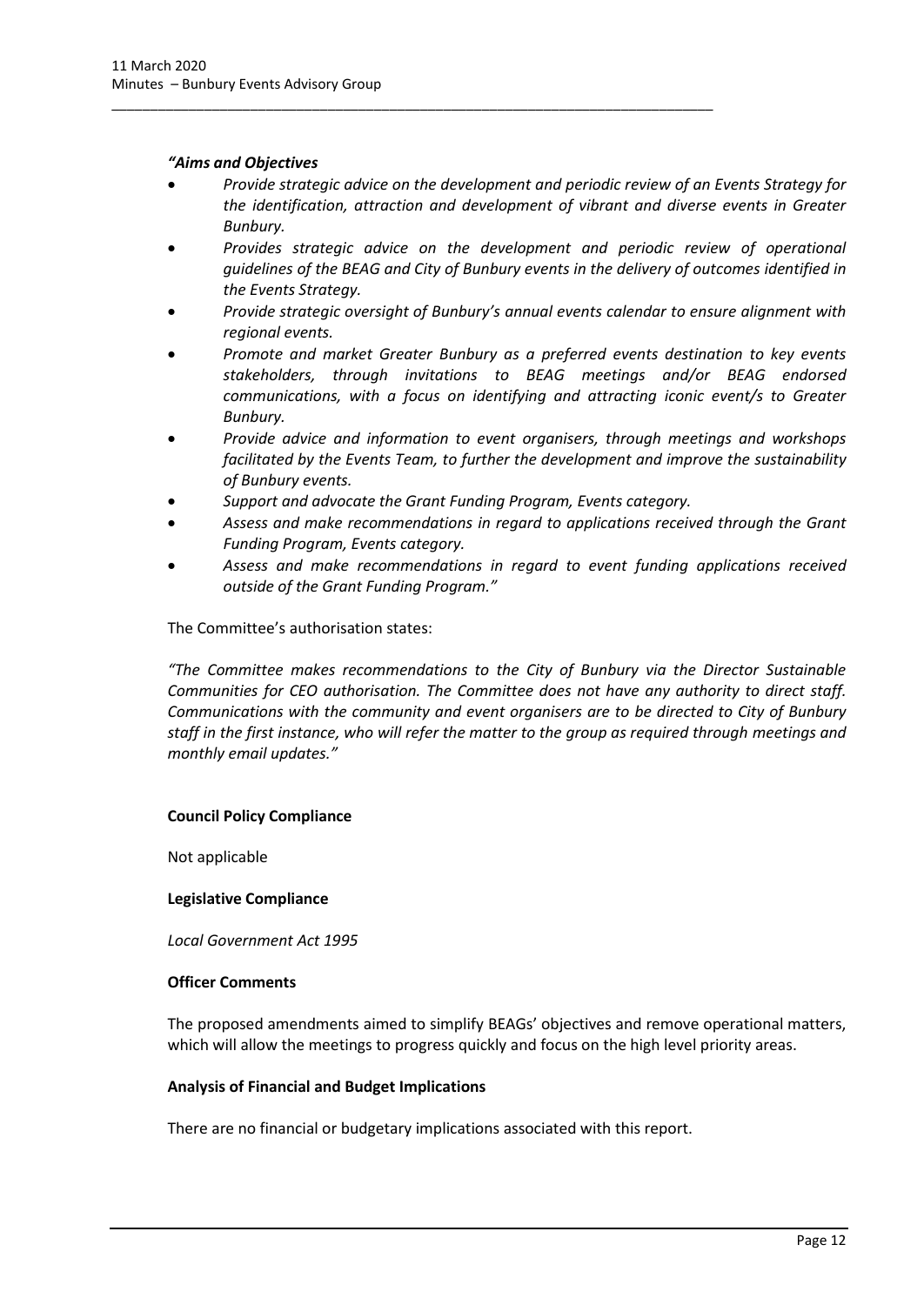#### *"Aims and Objectives*

- *Provide strategic advice on the development and periodic review of an Events Strategy for the identification, attraction and development of vibrant and diverse events in Greater Bunbury.*
- *Provides strategic advice on the development and periodic review of operational guidelines of the BEAG and City of Bunbury events in the delivery of outcomes identified in the Events Strategy.*
- *Provide strategic oversight of Bunbury's annual events calendar to ensure alignment with regional events.*
- *Promote and market Greater Bunbury as a preferred events destination to key events stakeholders, through invitations to BEAG meetings and/or BEAG endorsed communications, with a focus on identifying and attracting iconic event/s to Greater Bunbury.*
- *Provide advice and information to event organisers, through meetings and workshops facilitated by the Events Team, to further the development and improve the sustainability of Bunbury events.*
- *Support and advocate the Grant Funding Program, Events category.*

\_\_\_\_\_\_\_\_\_\_\_\_\_\_\_\_\_\_\_\_\_\_\_\_\_\_\_\_\_\_\_\_\_\_\_\_\_\_\_\_\_\_\_\_\_\_\_\_\_\_\_\_\_\_\_\_\_\_\_\_\_\_\_\_\_\_\_\_\_\_\_\_\_\_\_\_\_\_

- *Assess and make recommendations in regard to applications received through the Grant Funding Program, Events category.*
- *Assess and make recommendations in regard to event funding applications received outside of the Grant Funding Program."*

The Committee's authorisation states:

*"The Committee makes recommendations to the City of Bunbury via the Director Sustainable Communities for CEO authorisation. The Committee does not have any authority to direct staff. Communications with the community and event organisers are to be directed to City of Bunbury staff in the first instance, who will refer the matter to the group as required through meetings and monthly email updates."*

#### **Council Policy Compliance**

Not applicable

#### **Legislative Compliance**

*Local Government Act 1995*

#### **Officer Comments**

The proposed amendments aimed to simplify BEAGs' objectives and remove operational matters, which will allow the meetings to progress quickly and focus on the high level priority areas.

#### **Analysis of Financial and Budget Implications**

There are no financial or budgetary implications associated with this report.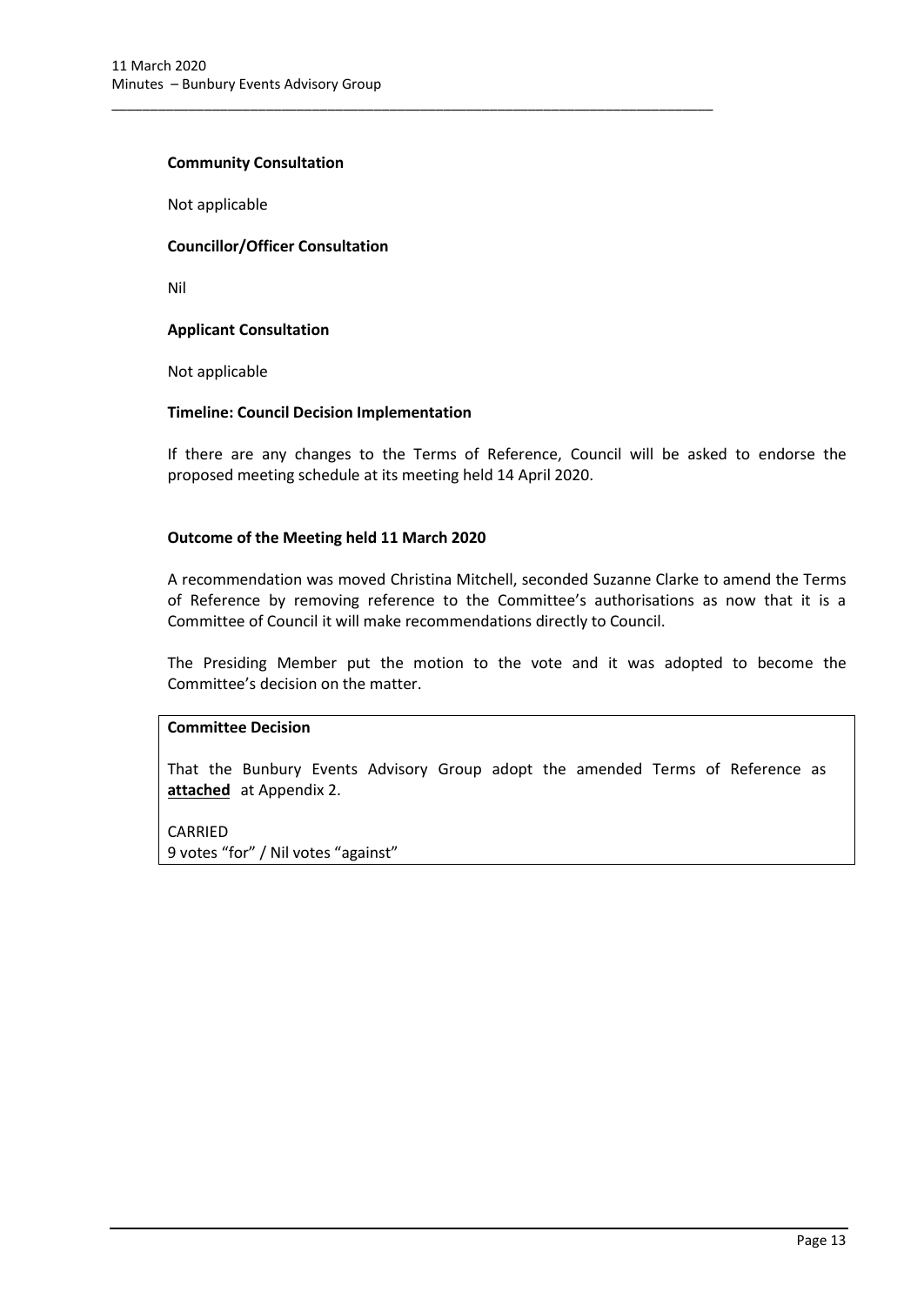#### **Community Consultation**

Not applicable

#### **Councillor/Officer Consultation**

Nil

#### **Applicant Consultation**

Not applicable

#### **Timeline: Council Decision Implementation**

\_\_\_\_\_\_\_\_\_\_\_\_\_\_\_\_\_\_\_\_\_\_\_\_\_\_\_\_\_\_\_\_\_\_\_\_\_\_\_\_\_\_\_\_\_\_\_\_\_\_\_\_\_\_\_\_\_\_\_\_\_\_\_\_\_\_\_\_\_\_\_\_\_\_\_\_\_\_

If there are any changes to the Terms of Reference, Council will be asked to endorse the proposed meeting schedule at its meeting held 14 April 2020.

#### **Outcome of the Meeting held 11 March 2020**

A recommendation was moved Christina Mitchell, seconded Suzanne Clarke to amend the Terms of Reference by removing reference to the Committee's authorisations as now that it is a Committee of Council it will make recommendations directly to Council.

The Presiding Member put the motion to the vote and it was adopted to become the Committee's decision on the matter.

#### **Committee Decision**

That the Bunbury Events Advisory Group adopt the amended Terms of Reference as **attached** at Appendix 2.

#### CARRIED

9 votes "for" / Nil votes "against"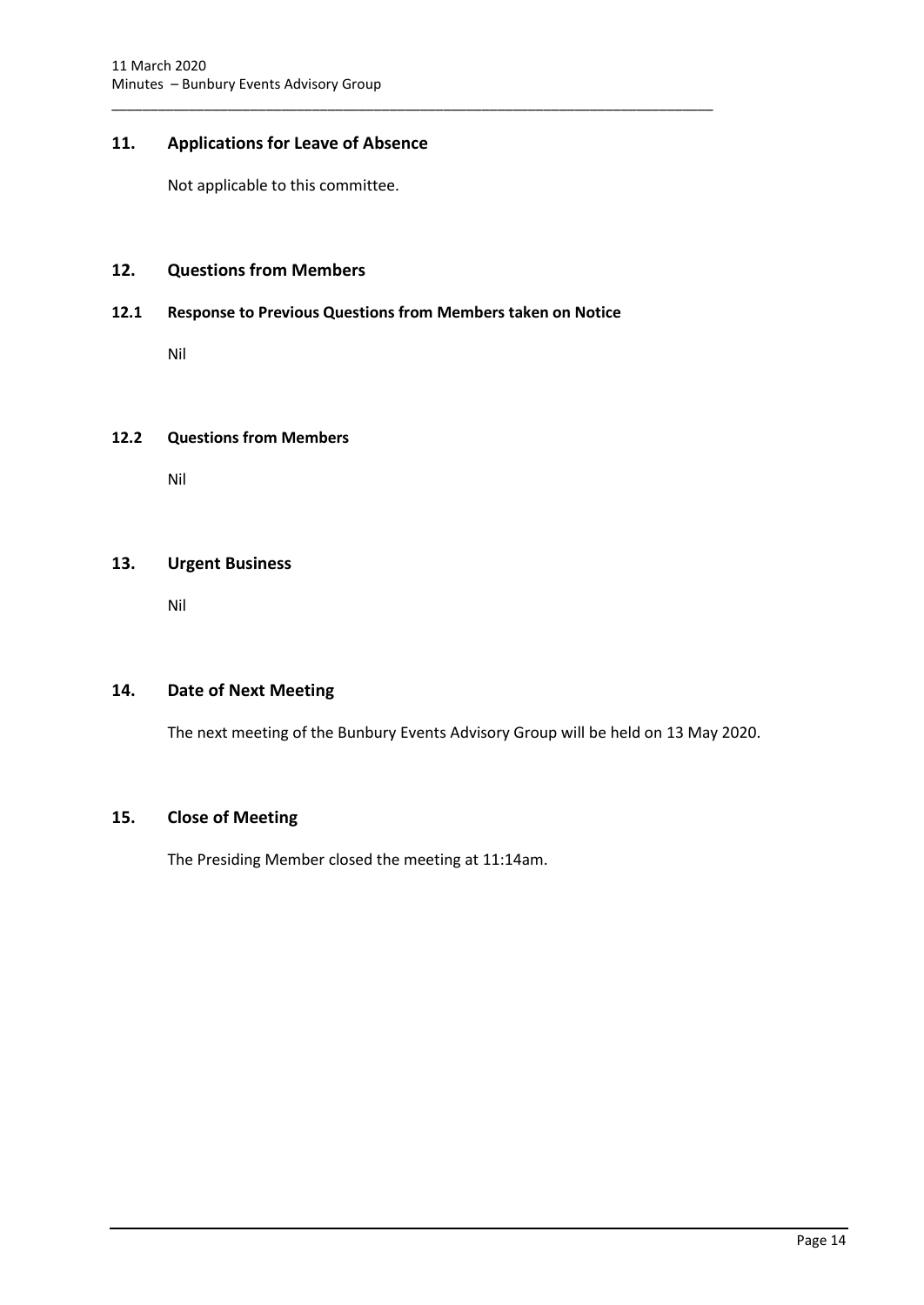# <span id="page-16-0"></span>**11. Applications for Leave of Absence**

Not applicable to this committee.

# <span id="page-16-1"></span>**12. Questions from Members**

#### <span id="page-16-2"></span>**12.1 Response to Previous Questions from Members taken on Notice**

\_\_\_\_\_\_\_\_\_\_\_\_\_\_\_\_\_\_\_\_\_\_\_\_\_\_\_\_\_\_\_\_\_\_\_\_\_\_\_\_\_\_\_\_\_\_\_\_\_\_\_\_\_\_\_\_\_\_\_\_\_\_\_\_\_\_\_\_\_\_\_\_\_\_\_\_\_\_

Nil

#### <span id="page-16-3"></span>**12.2 Questions from Members**

Nil

# <span id="page-16-4"></span>**13. Urgent Business**

Nil

# <span id="page-16-5"></span>**14. Date of Next Meeting**

The next meeting of the Bunbury Events Advisory Group will be held on 13 May 2020.

## <span id="page-16-6"></span>**15. Close of Meeting**

The Presiding Member closed the meeting at 11:14am.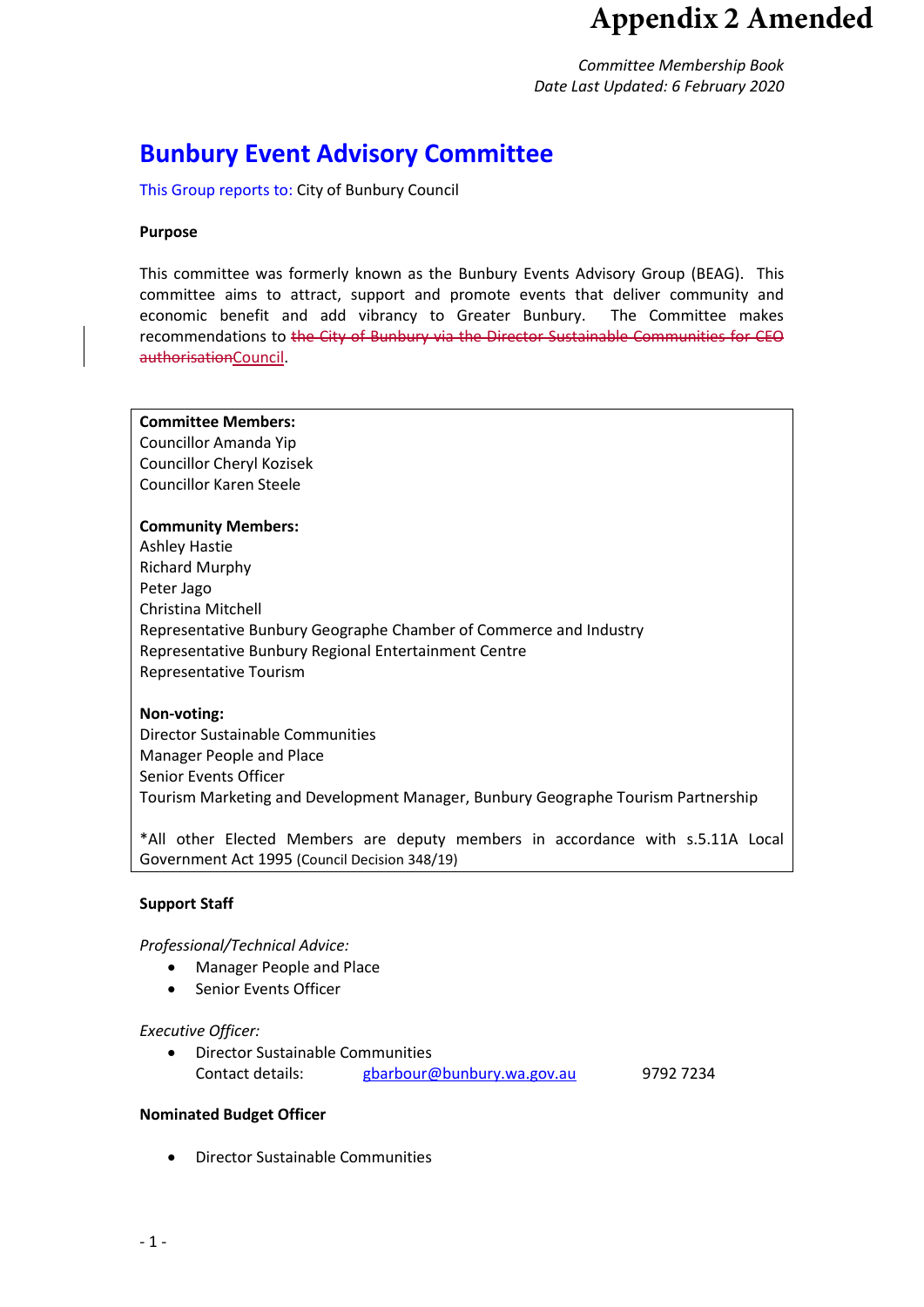# **Appendix 2 Amended**

*Committee Membership Book Date Last Updated: 6 February 2020*

# **Bunbury Event Advisory Committee**

This Group reports to: City of Bunbury Council

#### **Purpose**

This committee was formerly known as the Bunbury Events Advisory Group (BEAG). This committee aims to attract, support and promote events that deliver community and economic benefit and add vibrancy to Greater Bunbury. The Committee makes recommendations to the City of Bunbury via the Director Sustainable Communities for CEO authorisationCouncil.

#### **Committee Members:**

Councillor Amanda Yip Councillor Cheryl Kozisek Councillor Karen Steele

#### **Community Members:**

Ashley Hastie Richard Murphy Peter Jago Christina Mitchell Representative Bunbury Geographe Chamber of Commerce and Industry Representative Bunbury Regional Entertainment Centre Representative Tourism

#### **Non-voting:**

Director Sustainable Communities Manager People and Place Senior Events Officer Tourism Marketing and Development Manager, Bunbury Geographe Tourism Partnership

\*All other Elected Members are deputy members in accordance with s.5.11A Local Government Act 1995 (Council Decision 348/19)

#### **Support Staff**

#### *Professional/Technical Advice:*

- Manager People and Place
- Senior Events Officer

#### *Executive Officer:*

• Director Sustainable Communities Contact details: [gbarbour@bunbury.wa.gov.au](mailto:gbarbour@bunbury.wa.gov.au) 9792 7234

#### **Nominated Budget Officer**

• Director Sustainable Communities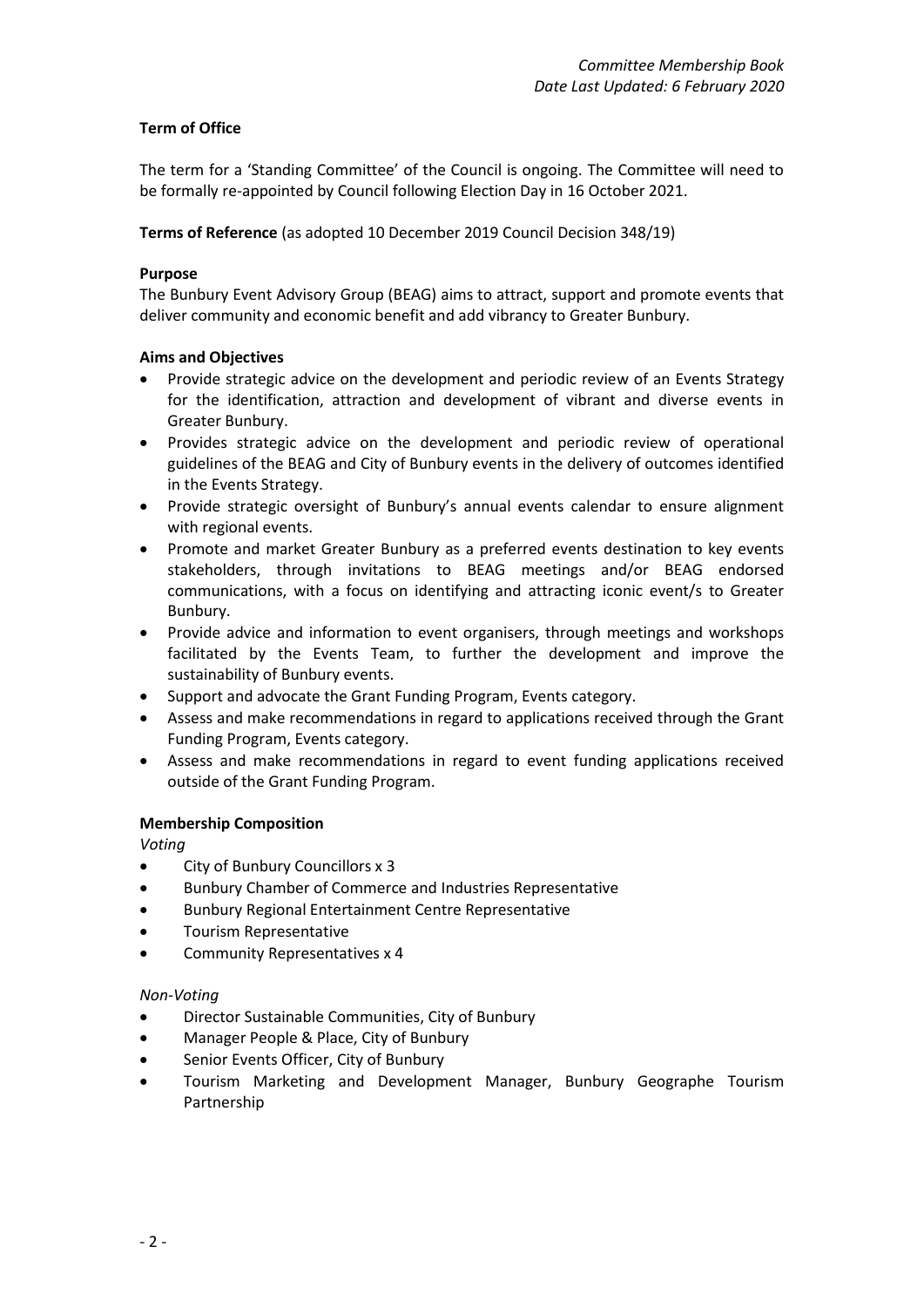## **Term of Office**

The term for a 'Standing Committee' of the Council is ongoing. The Committee will need to be formally re-appointed by Council following Election Day in 16 October 2021.

**Terms of Reference** (as adopted 10 December 2019 Council Decision 348/19)

#### **Purpose**

The Bunbury Event Advisory Group (BEAG) aims to attract, support and promote events that deliver community and economic benefit and add vibrancy to Greater Bunbury.

#### **Aims and Objectives**

- Provide strategic advice on the development and periodic review of an Events Strategy for the identification, attraction and development of vibrant and diverse events in Greater Bunbury.
- Provides strategic advice on the development and periodic review of operational guidelines of the BEAG and City of Bunbury events in the delivery of outcomes identified in the Events Strategy.
- Provide strategic oversight of Bunbury's annual events calendar to ensure alignment with regional events.
- Promote and market Greater Bunbury as a preferred events destination to key events stakeholders, through invitations to BEAG meetings and/or BEAG endorsed communications, with a focus on identifying and attracting iconic event/s to Greater Bunbury.
- Provide advice and information to event organisers, through meetings and workshops facilitated by the Events Team, to further the development and improve the sustainability of Bunbury events.
- Support and advocate the Grant Funding Program, Events category.
- Assess and make recommendations in regard to applications received through the Grant Funding Program, Events category.
- Assess and make recommendations in regard to event funding applications received outside of the Grant Funding Program.

#### **Membership Composition**

*Voting*

- City of Bunbury Councillors x 3
- Bunbury Chamber of Commerce and Industries Representative
- Bunbury Regional Entertainment Centre Representative
- Tourism Representative
- Community Representatives x 4

#### *Non-Voting*

- Director Sustainable Communities, City of Bunbury
- Manager People & Place, City of Bunbury
- Senior Events Officer, City of Bunbury
- Tourism Marketing and Development Manager, Bunbury Geographe Tourism Partnership